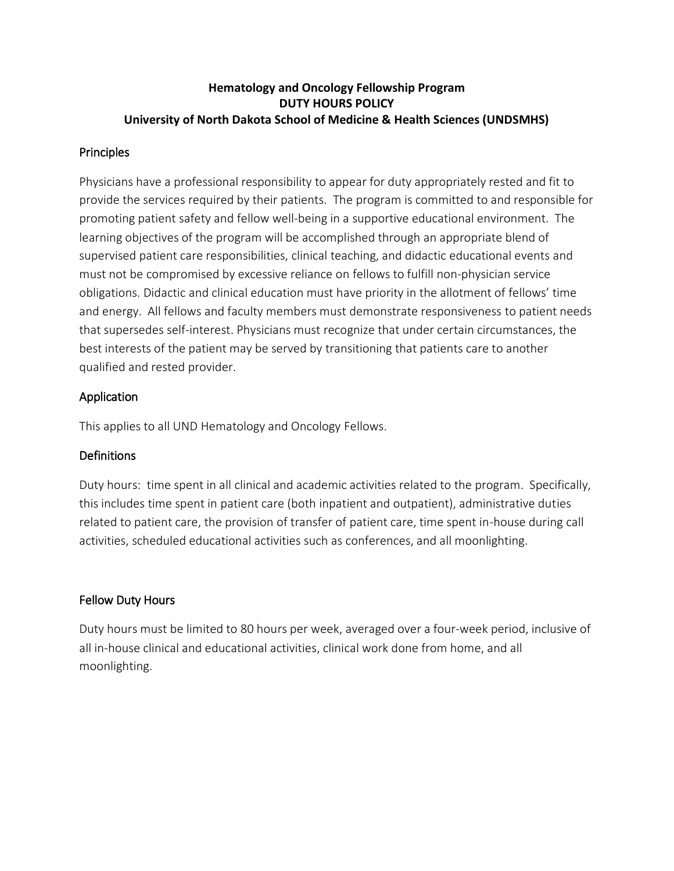# **Hematology and Oncology Fellowship Program DUTY HOURS POLICY University of North Dakota School of Medicine & Health Sciences (UNDSMHS)**

# **Principles**

Physicians have a professional responsibility to appear for duty appropriately rested and fit to provide the services required by their patients. The program is committed to and responsible for promoting patient safety and fellow well-being in a supportive educational environment. The learning objectives of the program will be accomplished through an appropriate blend of supervised patient care responsibilities, clinical teaching, and didactic educational events and must not be compromised by excessive reliance on fellows to fulfill non-physician service obligations. Didactic and clinical education must have priority in the allotment of fellows' time and energy. All fellows and faculty members must demonstrate responsiveness to patient needs that supersedes self-interest. Physicians must recognize that under certain circumstances, the best interests of the patient may be served by transitioning that patients care to another qualified and rested provider.

# Application

This applies to all UND Hematology and Oncology Fellows.

# **Definitions**

Duty hours: time spent in all clinical and academic activities related to the program. Specifically, this includes time spent in patient care (both inpatient and outpatient), administrative duties related to patient care, the provision of transfer of patient care, time spent in-house during call activities, scheduled educational activities such as conferences, and all moonlighting.

# Fellow Duty Hours

Duty hours must be limited to 80 hours per week, averaged over a four-week period, inclusive of all in-house clinical and educational activities, clinical work done from home, and all moonlighting.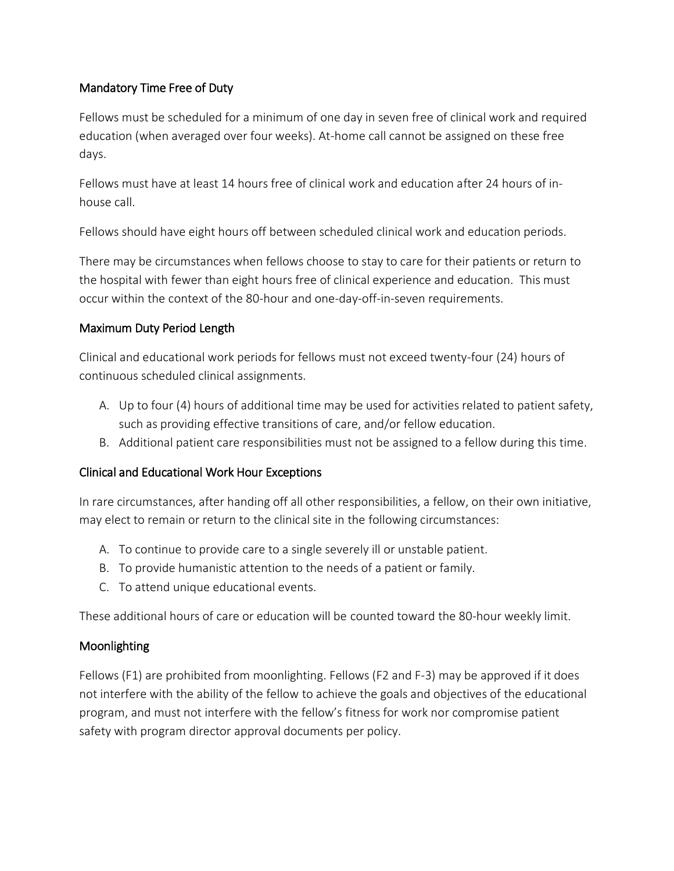# Mandatory Time Free of Duty

Fellows must be scheduled for a minimum of one day in seven free of clinical work and required education (when averaged over four weeks). At-home call cannot be assigned on these free days.

Fellows must have at least 14 hours free of clinical work and education after 24 hours of inhouse call.

Fellows should have eight hours off between scheduled clinical work and education periods.

There may be circumstances when fellows choose to stay to care for their patients or return to the hospital with fewer than eight hours free of clinical experience and education. This must occur within the context of the 80-hour and one-day-off-in-seven requirements.

# Maximum Duty Period Length

Clinical and educational work periods for fellows must not exceed twenty-four (24) hours of continuous scheduled clinical assignments.

- A. Up to four (4) hours of additional time may be used for activities related to patient safety, such as providing effective transitions of care, and/or fellow education.
- B. Additional patient care responsibilities must not be assigned to a fellow during this time.

# Clinical and Educational Work Hour Exceptions

In rare circumstances, after handing off all other responsibilities, a fellow, on their own initiative, may elect to remain or return to the clinical site in the following circumstances:

- A. To continue to provide care to a single severely ill or unstable patient.
- B. To provide humanistic attention to the needs of a patient or family.
- C. To attend unique educational events.

These additional hours of care or education will be counted toward the 80-hour weekly limit.

# Moonlighting

Fellows (F1) are prohibited from moonlighting. Fellows (F2 and F-3) may be approved if it does not interfere with the ability of the fellow to achieve the goals and objectives of the educational program, and must not interfere with the fellow's fitness for work nor compromise patient safety with program director approval documents per policy.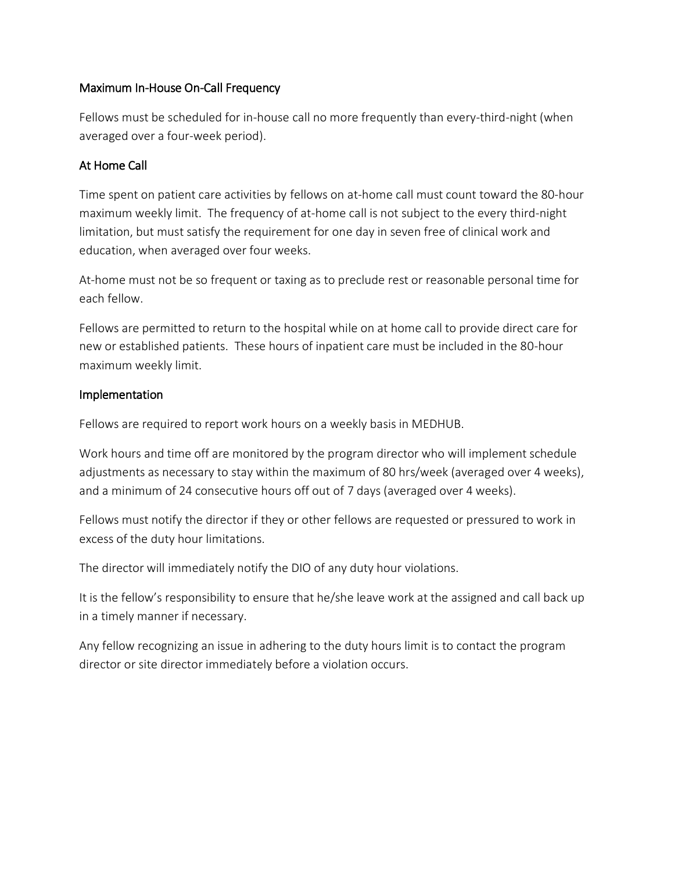# Maximum In-House On-Call Frequency

Fellows must be scheduled for in-house call no more frequently than every-third-night (when averaged over a four-week period).

# At Home Call

Time spent on patient care activities by fellows on at-home call must count toward the 80-hour maximum weekly limit. The frequency of at-home call is not subject to the every third-night limitation, but must satisfy the requirement for one day in seven free of clinical work and education, when averaged over four weeks.

At-home must not be so frequent or taxing as to preclude rest or reasonable personal time for each fellow.

Fellows are permitted to return to the hospital while on at home call to provide direct care for new or established patients. These hours of inpatient care must be included in the 80-hour maximum weekly limit.

# Implementation

Fellows are required to report work hours on a weekly basis in MEDHUB.

Work hours and time off are monitored by the program director who will implement schedule adjustments as necessary to stay within the maximum of 80 hrs/week (averaged over 4 weeks), and a minimum of 24 consecutive hours off out of 7 days (averaged over 4 weeks).

Fellows must notify the director if they or other fellows are requested or pressured to work in excess of the duty hour limitations.

The director will immediately notify the DIO of any duty hour violations.

It is the fellow's responsibility to ensure that he/she leave work at the assigned and call back up in a timely manner if necessary.

Any fellow recognizing an issue in adhering to the duty hours limit is to contact the program director or site director immediately before a violation occurs.